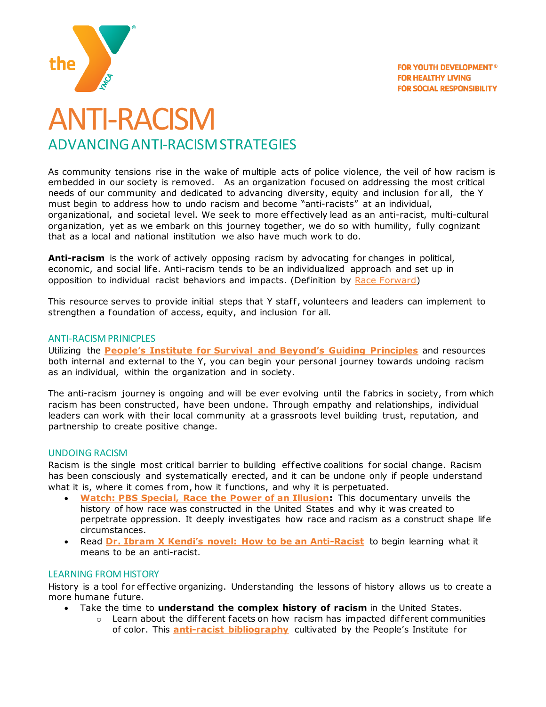



# ANTI-RACISM ADVANCING ANTI-RACISM STRATEGIES

As community tensions rise in the wake of multiple acts of police violence, the veil of how racism is embedded in our society is removed. As an organization focused on addressing the most critical needs of our community and dedicated to advancing diversity, equity and inclusion for all, the Y must begin to address how to undo racism and become "anti-racists" at an individual, organizational, and societal level. We seek to more ef fectively lead as an anti-racist, multi-cultural organization, yet as we embark on this journey together, we do so with humility, fully cognizant that as a local and national institution we also have much work to do.

**Anti-racism** is the work of actively opposing racism by advocating for changes in political, economic, and social life. Anti-racism tends to be an individualized approach and set up in opposition to individual racist behaviors and impacts. (Definition by [Race Forward\)](https://www.raceforward.org/videos/systemic-racism)

This resource serves to provide initial steps that Y staff, volunteers and leaders can implement to strengthen a foundation of access, equity, and inclusion for all.

# ANTI-RACISM PRINICPLES

Utilizing the **[People's Institute for Survival and Beyond's](https://www.pisab.org/) Guiding Principles** and resources both internal and external to the Y, you can begin your personal journey towards undoing racism as an individual, within the organization and in society.

The anti-racism journey is ongoing and will be ever evolving until the fabrics in society, from which racism has been constructed, have been undone. Through empathy and relationships, individual leaders can work with their local community at a grassroots level building trust, reputation, and partnership to create positive change.

# UNDOING RACISM

Racism is the single most critical barrier to building effective coalitions for social change. Racism has been consciously and systematically erected, and it can be undone only if people understand what it is, where it comes from, how it functions, and why it is perpetuated.

- **[Watch: PBS Special, Race the Power of an Illusion:](https://www.racepowerofanillusion.org/)** This documentary unveils the history of how race was constructed in the United States and why it was created to perpetrate oppression. It deeply investigates how race and racism as a construct shape life circumstances.
- Read **Dr. [Ibram X Kendi's novel: How to be an Anti](https://www.ibramxkendi.com/how-to-be-an-antiracist-1)-Racist** to begin learning what it means to be an anti-racist.

# LEARNING FROM HISTORY

History is a tool for effective organizing. Understanding the lessons of history allows us to create a more humane future.

- Take the time to **understand the complex history of racism** in the United States.
	- $\circ$  Learn about the different facets on how racism has impacted different communities of color. This **[anti-racist bibliography](https://link.ymca.net/mlink/file/MjAyMTE4)** cultivated by the People's Institute for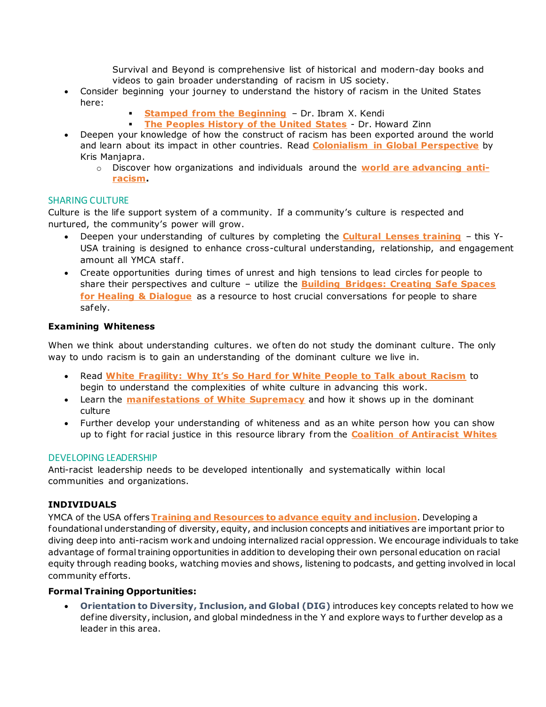Survival and Beyond is comprehensive list of historical and modern-day books and videos to gain broader understanding of racism in US society.

- Consider beginning your journey to understand the history of racism in the United States here:
	- **[Stamped from the Beginning](https://www.ibramxkendi.com/stamped-from-the-beginning) Dr. Ibram X. Kendi**
	- **[The Peoples History of the United States](https://www.amazon.com/Peoples-History-United-States/dp/0060838655) Dr. Howard Zinn**
- Deepen your knowledge of how the construct of racism has been exported around the world and learn about its impact in other countries. Read **[Colonialism in Global Perspective](https://www.amazon.com/Colonialism-Global-Perspective-Kris-Manjapra/dp/110844136X)** by Kris Manjapra.
	- o Discover how organizations and individuals around the **[world are advancing anti](https://static1.squarespace.com/static/511bd4e0e4b0cecdc77b114b/t/55a95b28e4b05f2993aa5882/1437162280833/Anti_Racism_Resource_Kit.pdf)[racism.](https://static1.squarespace.com/static/511bd4e0e4b0cecdc77b114b/t/55a95b28e4b05f2993aa5882/1437162280833/Anti_Racism_Resource_Kit.pdf)**

#### SHARING CULTURE

Culture is the life support system of a community. If a community's culture is respected and nurtured, the community's power will grow.

- Deepen your understanding of cultures by completing the **[Cultural Lenses training](https://lcdc.yexchange.org/Catalog/Course/Detail/1094)** this Y-USA training is designed to enhance cross-cultural understanding, relationship, and engagement amount all YMCA staff.
- Create opportunities during times of unrest and high tensions to lead circles for people to share their perspectives and culture – utilize the **[Building Bridges: Creating Safe Spaces](https://link.ymca.net/ce/pulse/user/teams/group/uploaded_files/NDEx?project_id=192&folder=126473)  [for Healing & Dialogue](https://link.ymca.net/ce/pulse/user/teams/group/uploaded_files/NDEx?project_id=192&folder=126473)** as a resource to host crucial conversations for people to share safely.

# **Examining Whiteness**

When we think about understanding cultures. we often do not study the dominant culture. The only way to undo racism is to gain an understanding of the dominant culture we live in.

- Read **White Fragility[: Why It's So Hard for White People to Talk about Racism](https://www.amazon.com/White-Fragility-People-About-Racism/dp/0807047414)** to begin to understand the complexities of white culture in advancing this work.
- Learn the **manifestations of [White Supremacy](http://www.cwsworkshop.org/pdfs/CARC/Overview/3_White_Sup_Culture.PDF)** and how it shows up in the dominant culture
- Further develop your understanding of whiteness and as an white person how you can show up to fight for racial justice in this resource library f rom the **[Coalition of Antiracist Whites](https://www.carw.org/resources/)**

#### DEVELOPING LEADERSHIP

Anti-racist leadership needs to be developed intentionally and systematically within local communities and organizations.

# **INDIVIDUALS**

YMCA of the USA of fers **[Training and Resources to advance equity](https://link.ymca.net/mlink/file/NjA5MQ) and inclusion**. Developing a foundational understanding of diversity, equity, and inclusion concepts and initiatives are important prior to diving deep into anti-racism work and undoing internalized racial oppression. We encourage individuals to take advantage of formal training opportunities in addition to developing their own personal education on racial equity through reading books, watching movies and shows, listening to podcasts, and getting involved in local community efforts.

# **Formal Training Opportunities:**

• **Orientation to Diversity, Inclusion, and Global (DIG)** introduces key concepts related to how we define diversity, inclusion, and global mindedness in the Y and explore ways to further develop as a leader in this area.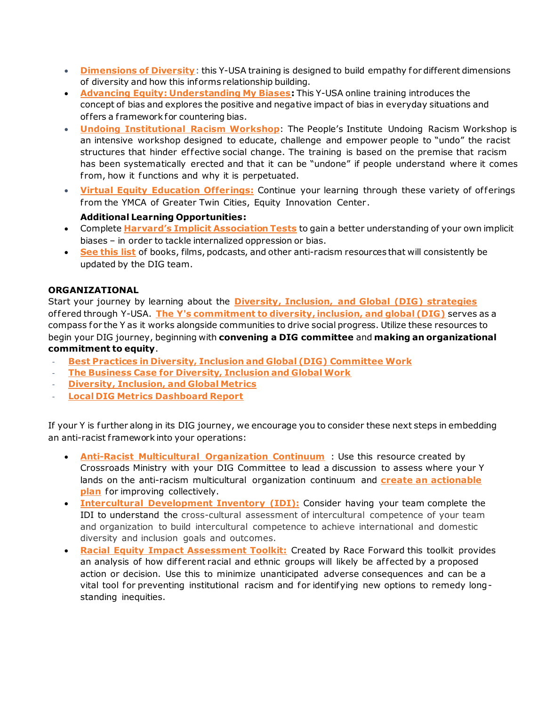- **[Dimensions of Diversity](https://lcdc.yexchange.org/Catalog/Course/Detail/1141)**: this Y-USA training is designed to build empathy for different dimensions of diversity and how this informs relationship building.
- **[Advancing Equity: Understanding My Biases](https://lcdc.yexchange.org/s/c54p87v):** This Y-USA online training introduces the concept of bias and explores the positive and negative impact of bias in everyday situations and of fers a f ramework for countering bias.
- **[Undoing Institutional Racism](https://www.pisab.org/) Workshop**: The People's Institute Undoing Racism Workshop is an intensive workshop designed to educate, challenge and empower people to "undo" the racist structures that hinder effective social change. The training is based on the premise that racism has been systematically erected and that it can be "undone" if people understand where it comes from, how it functions and why it is perpetuated.
- **[Virtual Equity Education Offerings:](https://www.ymcamn.org/register-free-online-classes-equity-innovation-center)** Continue your learning through these variety of of ferings from the YMCA of Greater Twin Cities, Equity Innovation Center.

# **Additional Learning Opportunities:**

- Complete **[Harvard's Implicit Association Tests](https://implicit.harvard.edu/implicit/takeatest.html)** to gain a better understanding of your own implicit biases – in order to tackle internalized oppression or bias.
- **[See this list](https://link.ymca.net/mlink/file/MjAyMTI2)** of books, films, podcasts, and other anti-racism resources that will consistently be updated by the DIG team.

# **ORGANIZATIONAL**

Start your journey by learning about the **[Diversity, Inclusion, and Global \(DIG\) strategies](https://www.ymca.net/diversity-inclusion)** of fered through Y-USA. **[The Y's commitment to diversity, inclusion, and global \(DIG\)](https://www.ymca.net/diversity-inclusion)** serves as a compass for the Y as it works alongside communities to drive social progress. Utilize these resources to begin your DIG journey, beginning with **convening a DIG committee** and **making an organizational commitment to equity**.

- **[Best Practices in Diversity, Inclusion and Global \(DIG\) Committee Work](https://link.ymca.net/mlink/file/NjI0MQ)**
- **[The Business Case for Diversity, Inclusion and Global Work](https://link.ymca.net/mlink/file/MTI5MDQ)**
- **[Diversity, Inclusion, and Global Metrics](https://link.ymca.net/mlink/site_page/NDEx)**
- **[Local DIG Metrics Dashboard Report](https://insights.ymca.net/)**

If your Y is further along in its DIG journey, we encourage you to consider these next steps in embedding an anti-racist framework into your operations:

- **[Anti-Racist Multicultural Organization Continuum](https://link.ymca.net/mlink/file/MjAyMTIx)** : Use this resource created by Crossroads Ministry with your DIG Committee to lead a discussion to assess where your Y lands on the anti-racism multicultural organization continuum and **[create an actionable](https://link.ymca.net/mlink/file/MjAyMTIw)  [plan](https://link.ymca.net/mlink/file/MjAyMTIw)** for improving collectively.
- **[Intercultural Development Inventory](https://idiinventory.com/) (IDI):** Consider having your team complete the IDI to understand the cross-cultural assessment of intercultural competence of your team and organization to build intercultural competence to achieve international and domestic diversity and inclusion goals and outcomes.
- **[Racial Equity Impact Assessment Toolkit:](http://act.colorlines.com/acton/formfd/1069/0077:d-0001)** Created by Race Forward this toolkit provides an analysis of how different racial and ethnic groups will likely be affected by a proposed action or decision. Use this to minimize unanticipated adverse consequences and can be a vital tool for preventing institutional racism and for identifying new options to remedy longstanding inequities.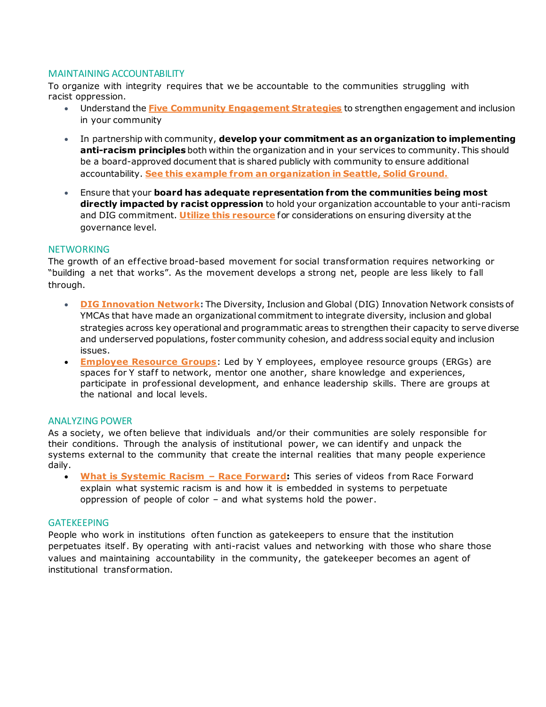# MAINTAINING ACCOUNTABILITY

To organize with integrity requires that we be accountable to the communities struggling with racist oppression.

- Understand the **[Five Community Engagement Strategies](https://lcdc.yexchange.org/Catalog/Course/Detail/1298)** to strengthen engagement and inclusion in your community
- In partnership with community, **develop your commitment as an organization to implementing anti-racism principles** both within the organization and in your services to community. This should be a board-approved document that is shared publicly with community to ensure additional accountability. **[See this example from an organization in Seattle, Solid Ground.](https://www.solid-ground.org/wp-content/uploads/2015/12/ARI_Definitions-Accountability_Standards.pdf)**
- Ensure that your **board has adequate representation from the communities being most directly impacted by racist oppression** to hold your organization accountable to your anti-racism and DIG commitment. **[Utilize this resource](https://link.ymca.net/mlink/file/MTg0OTA2)** for considerations on ensuring diversity at the governance level.

#### **NETWORKING**

The growth of an effective broad-based movement for social transformation requires networking or "building a net that works". As the movement develops a strong net, people are less likely to fall through.

- **[DIG Innovation Network](https://link.ymca.net/mlink/file/MTE1OTI5):** The Diversity, Inclusion and Global (DIG) Innovation Network consists of YMCAs that have made an organizational commitment to integrate diversity, inclusion and global strategies across key operational and programmatic areas to strengthen their capacity to serve diverse and underserved populations, foster community cohesion, and address social equity and inclusion issues.
- **[Employee Resource Groups](https://link.ymca.net/ce/pulse/user/teams/group/all_projects?category_id=23)**: Led by Y employees, employee resource groups (ERGs) are spaces for Y staff to network, mentor one another, share knowledge and experiences, participate in professional development, and enhance leadership skills. There are groups at the national and local levels.

# ANALYZING POWER

As a society, we often believe that individuals and/or their communities are solely responsible for their conditions. Through the analysis of institutional power, we can identify and unpack the systems external to the community that create the internal realities that many people experience daily.

• **[What is Systemic Racism](https://www.raceforward.org/videos/systemic-racism) - Race Forward:** This series of videos from Race Forward explain what systemic racism is and how it is embedded in systems to perpetuate oppression of people of color – and what systems hold the power.

# GATEKEEPING

People who work in institutions often function as gatekeepers to ensure that the institution perpetuates itself . By operating with anti-racist values and networking with those who share those values and maintaining accountability in the community, the gatekeeper becomes an agent of institutional transformation.